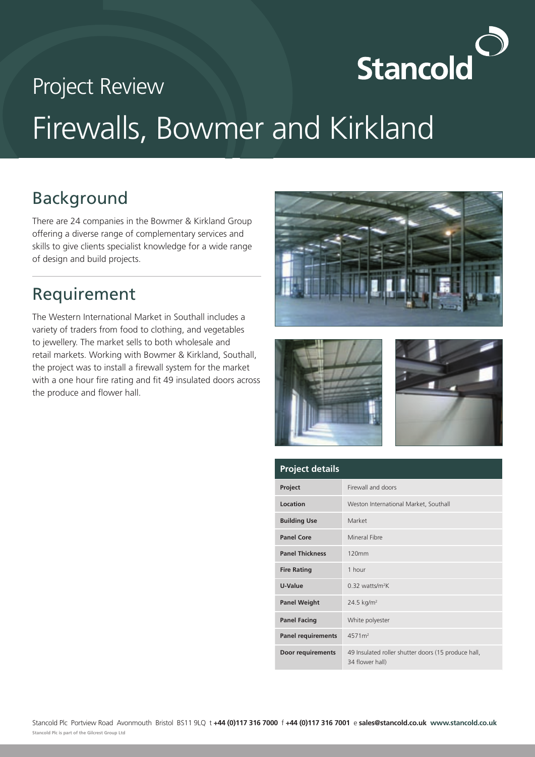

# Project Review Firewalls, Bowmer and Kirkland

## Background

There are 24 companies in the Bowmer & Kirkland Group offering a diverse range of complementary services and skills to give clients specialist knowledge for a wide range of design and build projects.

#### Requirement

The Western International Market in Southall includes a variety of traders from food to clothing, and vegetables to jewellery. The market sells to both wholesale and retail markets. Working with Bowmer & Kirkland, Southall, the project was to install a firewall system for the market with a one hour fire rating and fit 49 insulated doors across the produce and flower hall.







| <b>Project details</b>    |                                                                        |
|---------------------------|------------------------------------------------------------------------|
| Project                   | Firewall and doors                                                     |
| Location                  | Weston International Market, Southall                                  |
| <b>Building Use</b>       | Market                                                                 |
| <b>Panel Core</b>         | Mineral Fibre                                                          |
| <b>Panel Thickness</b>    | 120mm                                                                  |
| <b>Fire Rating</b>        | 1 hour                                                                 |
| U-Value                   | $0.32$ watts/m <sup>2</sup> K                                          |
| <b>Panel Weight</b>       | 24.5 $kg/m2$                                                           |
| <b>Panel Facing</b>       | White polyester                                                        |
| <b>Panel requirements</b> | 4571 <sup>m²</sup>                                                     |
| Door requirements         | 49 Insulated roller shutter doors (15 produce hall,<br>34 flower hall) |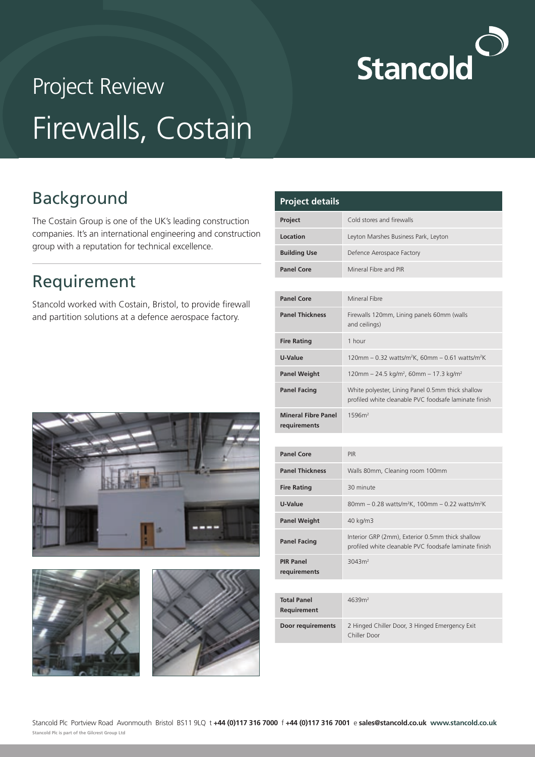

# Project Review Firewalls, Costain

## Background

The Costain Group is one of the UK's leading construction companies. It's an international engineering and construction group with a reputation for technical excellence.

#### Requirement

Stancold worked with Costain, Bristol, to provide firewall and partition solutions at a defence aerospace factory.

| <b>Project details</b> |                                      |
|------------------------|--------------------------------------|
| <b>Project</b>         | Cold stores and firewalls            |
| Location               | Leyton Marshes Business Park, Leyton |
| <b>Building Use</b>    | Defence Aerospace Factory            |
| <b>Panel Core</b>      | Mineral Fibre and PIR                |

| <b>Panel Core</b>                          | Mineral Fibre                                                                                              |
|--------------------------------------------|------------------------------------------------------------------------------------------------------------|
| <b>Panel Thickness</b>                     | Firewalls 120mm, Lining panels 60mm (walls<br>and ceilings)                                                |
| <b>Fire Rating</b>                         | 1 hour                                                                                                     |
| U-Value                                    | 120mm – 0.32 watts/m <sup>2</sup> K, 60mm – 0.61 watts/m <sup>2</sup> K                                    |
| <b>Panel Weight</b>                        | $120$ mm – 24.5 kg/m <sup>2</sup> , 60mm – 17.3 kg/m <sup>2</sup>                                          |
| <b>Panel Facing</b>                        | White polyester, Lining Panel 0.5mm thick shallow<br>profiled white cleanable PVC foodsafe laminate finish |
| <b>Mineral Fibre Panel</b><br>requirements | 1596m <sup>2</sup>                                                                                         |

| <b>Panel Core</b>                | <b>PIR</b>                                                                                                |
|----------------------------------|-----------------------------------------------------------------------------------------------------------|
| <b>Panel Thickness</b>           | Walls 80mm, Cleaning room 100mm                                                                           |
| <b>Fire Rating</b>               | 30 minute                                                                                                 |
| U-Value                          | 80mm – 0.28 watts/m <sup>2</sup> K, 100mm – 0.22 watts/m <sup>2</sup> K                                   |
| <b>Panel Weight</b>              | 40 kg/m3                                                                                                  |
| <b>Panel Facing</b>              | Interior GRP (2mm), Exterior 0.5mm thick shallow<br>profiled white cleanable PVC foodsafe laminate finish |
| <b>PIR Panel</b><br>requirements | 3043m <sup>2</sup>                                                                                        |

| <b>Total Panel</b><br><b>Requirement</b> | 4639m <sup>2</sup>                                             |
|------------------------------------------|----------------------------------------------------------------|
| <b>Door requirements</b>                 | 2 Hinged Chiller Door, 3 Hinged Emergency Exit<br>Chiller Door |







| Stancold Plc Portview Road Avonmouth Bristol BS11 9LQ t +44 (0)117 316 7000 f +44 (0)117 316 7001 e sales@stancold.co.uk www.stancold.co.uk |  |  |  |
|---------------------------------------------------------------------------------------------------------------------------------------------|--|--|--|
| Stancold Plc is part of the Gilcrest Group Ltd                                                                                              |  |  |  |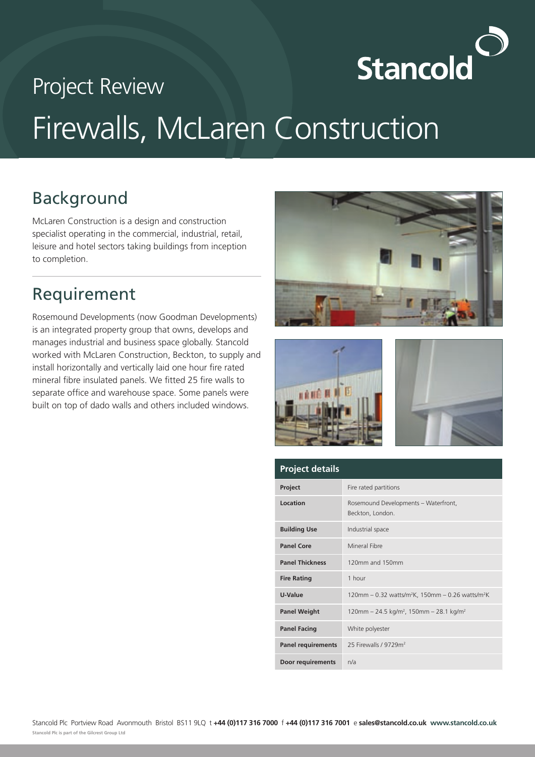# **Stancold**

# Project Review Firewalls, McLaren Construction

## Background

McLaren Construction is a design and construction specialist operating in the commercial, industrial, retail, leisure and hotel sectors taking buildings from inception to completion.

#### Requirement

Rosemound Developments (now Goodman Developments) is an integrated property group that owns, develops and manages industrial and business space globally. Stancold worked with McLaren Construction, Beckton, to supply and install horizontally and vertically laid one hour fire rated mineral fibre insulated panels. We fitted 25 fire walls to separate office and warehouse space. Some panels were built on top of dado walls and others included windows.







| <b>Project details</b>    |                                                                          |
|---------------------------|--------------------------------------------------------------------------|
| Project                   | Fire rated partitions                                                    |
| Location                  | Rosemound Developments - Waterfront,<br>Beckton, London.                 |
| <b>Building Use</b>       | Industrial space                                                         |
| <b>Panel Core</b>         | Mineral Fibre                                                            |
| <b>Panel Thickness</b>    | 120mm and 150mm                                                          |
| <b>Fire Rating</b>        | 1 hour                                                                   |
| U-Value                   | 120mm - 0.32 watts/m <sup>2</sup> K, 150mm - 0.26 watts/m <sup>2</sup> K |
| <b>Panel Weight</b>       | 120mm - 24.5 kg/m <sup>2</sup> , 150mm - 28.1 kg/m <sup>2</sup>          |
| <b>Panel Facing</b>       | White polyester                                                          |
| <b>Panel requirements</b> | 25 Firewalls / 9729m <sup>2</sup>                                        |
| Door requirements         | n/a                                                                      |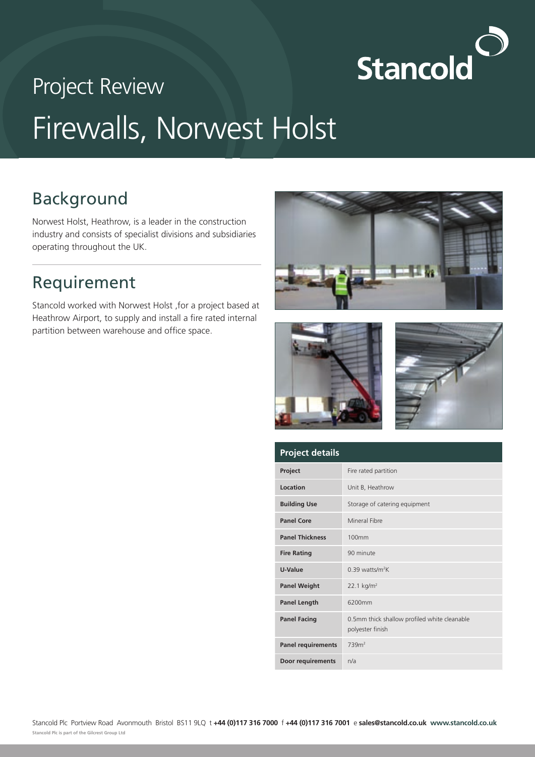

# Project Review Firewalls, Norwest Holst

## Background

Norwest Holst, Heathrow, is a leader in the construction industry and consists of specialist divisions and subsidiaries operating throughout the UK.

#### Requirement

Stancold worked with Norwest Holst ,for a project based at Heathrow Airport, to supply and install a fire rated internal partition between warehouse and office space.







| <b>Project details</b>    |                                                                  |
|---------------------------|------------------------------------------------------------------|
| Project                   | Fire rated partition                                             |
| Location                  | Unit B, Heathrow                                                 |
| <b>Building Use</b>       | Storage of catering equipment                                    |
| <b>Panel Core</b>         | Mineral Fibre                                                    |
| <b>Panel Thickness</b>    | 100mm                                                            |
| <b>Fire Rating</b>        | 90 minute                                                        |
| U-Value                   | $0.39$ watts/m <sup>2</sup> K                                    |
| <b>Panel Weight</b>       | $22.1 \text{ kg/m}^2$                                            |
| <b>Panel Length</b>       | 6200mm                                                           |
| <b>Panel Facing</b>       | 0.5mm thick shallow profiled white cleanable<br>polyester finish |
| <b>Panel requirements</b> | 739 <sup>2</sup>                                                 |
| Door requirements         | n/a                                                              |